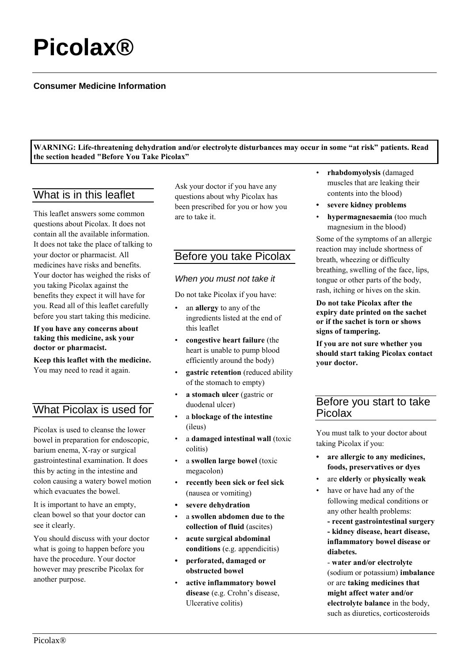# **Picolax®**

## **Consumer Medicine Information**

**WARNING: Life-threatening dehydration and/or electrolyte disturbances may occur in some "at risk" patients. Read the section headed "Before You Take Picolax"**

# What is in this leaflet

This leaflet answers some common questions about Picolax. It does not contain all the available information. It does not take the place of talking to your doctor or pharmacist. All medicines have risks and benefits. Your doctor has weighed the risks of you taking Picolax against the benefits they expect it will have for you. Read all of this leaflet carefully before you start taking this medicine.

#### **If you have any concerns about taking this medicine, ask your doctor or pharmacist.**

**Keep this leaflet with the medicine.** You may need to read it again.

# What Picolax is used for

Picolax is used to cleanse the lower bowel in preparation for endoscopic, barium enema, X-ray or surgical gastrointestinal examination. It does this by acting in the intestine and colon causing a watery bowel motion which evacuates the bowel.

It is important to have an empty, clean bowel so that your doctor can see it clearly.

You should discuss with your doctor what is going to happen before you have the procedure. Your doctor however may prescribe Picolax for another purpose.

Ask your doctor if you have any questions about why Picolax has been prescribed for you or how you are to take it.

# Before you take Picolax

#### *When you must not take it*

Do not take Picolax if you have:

- an **allergy** to any of the ingredients listed at the end of this leaflet
- **congestive heart failure** (the heart is unable to pump blood efficiently around the body)
- **gastric retention** (reduced ability of the stomach to empty)
- **a stomach ulcer** (gastric or duodenal ulcer)
- a **blockage of the intestine** (ileus)
- a **damaged intestinal wall** (toxic colitis)
- a **swollen large bowel** (toxic megacolon)
- **recently been sick or feel sick**  (nausea or vomiting)
- **• severe dehydration**
- a **swollen abdomen due to the collection of fluid** (ascites)
- **acute surgical abdominal conditions** (e.g. appendicitis)
- **• perforated, damaged or obstructed bowel**
- **active inflammatory bowel disease** (e.g. Crohn's disease, Ulcerative colitis)
- **rhabdomyolysis** (damaged muscles that are leaking their contents into the blood)
- **• severe kidney problems**
- **hypermagnesaemia** (too much magnesium in the blood)

Some of the symptoms of an allergic reaction may include shortness of breath, wheezing or difficulty breathing, swelling of the face, lips, tongue or other parts of the body, rash, itching or hives on the skin.

**Do not take Picolax after the expiry date printed on the sachet or if the sachet is torn or shows signs of tampering.**

**If you are not sure whether you should start taking Picolax contact your doctor.**

# Before you start to take Picolax

You must talk to your doctor about taking Picolax if you:

- **• are allergic to any medicines, foods, preservatives or dyes**
- are **elderly** or **physically weak**
- have or have had any of the following medical conditions or any other health problems:

**- recent gastrointestinal surgery - kidney disease, heart disease, inflammatory bowel disease or diabetes.**

- **water and/or electrolyte** (sodium or potassium) **imbalance** or are **taking medicines that might affect water and/or electrolyte balance** in the body, such as diuretics, corticosteroids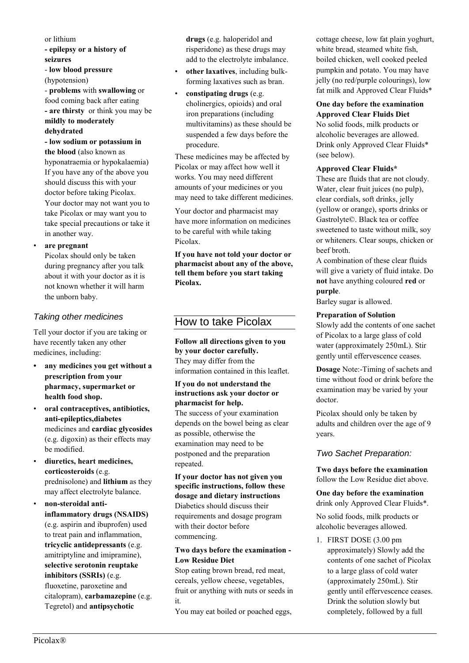#### or lithium **- epilepsy or a history of seizures**

- **low blood pressure** (hypotension)

- **problems** with **swallowing** or food coming back after eating **- are thirsty** or think you may be **mildly to moderately** 

#### **dehydrated**

**- low sodium or potassium in the blood** (also known as hyponatraemia or hypokalaemia) If you have any of the above you should discuss this with your doctor before taking Picolax. Your doctor may not want you to take Picolax or may want you to take special precautions or take it in another way.

#### • **are pregnant**

Picolax should only be taken during pregnancy after you talk about it with your doctor as it is not known whether it will harm the unborn baby.

## *Taking other medicines*

Tell your doctor if you are taking or have recently taken any other medicines, including:

- **• any medicines you get without a prescription from your pharmacy, supermarket or health food shop.**
- **oral contraceptives, antibiotics, anti-epileptics,diabetes** medicines and **cardiac glycosides** (e.g. digoxin) as their effects may be modified.
- **diuretics, heart medicines, corticosteroids** (e.g. prednisolone) and **lithium** as they may affect electrolyte balance.
- **non-steroidal antiinflammatory drugs (NSAIDS)**  (e.g. aspirin and ibuprofen) used to treat pain and inflammation, **tricyclic antidepressants** (e.g. amitriptyline and imipramine), **selective serotonin reuptake inhibitors (SSRIs)** (e.g. fluoxetine, paroxetine and citalopram), **carbamazepine** (e.g. Tegretol) and **antipsychotic**

**drugs** (e.g. haloperidol and risperidone) as these drugs may add to the electrolyte imbalance.

- **other laxatives**, including bulkforming laxatives such as bran.
- **constipating drugs** (e.g. cholinergics, opioids) and oral iron preparations (including multivitamins) as these should be suspended a few days before the procedure.

These medicines may be affected by Picolax or may affect how well it works. You may need different amounts of your medicines or you may need to take different medicines.

Your doctor and pharmacist may have more information on medicines to be careful with while taking Picolax.

**If you have not told your doctor or pharmacist about any of the above, tell them before you start taking Picolax.**

# How to take Picolax

**Follow all directions given to you by your doctor carefully.** They may differ from the information contained in this leaflet.

#### **If you do not understand the instructions ask your doctor or pharmacist for help.**

The success of your examination depends on the bowel being as clear as possible, otherwise the examination may need to be postponed and the preparation repeated.

**If your doctor has not given you specific instructions, follow these dosage and dietary instructions** Diabetics should discuss their requirements and dosage program with their doctor before commencing.

#### **Two days before the examination - Low Residue Diet**

Stop eating brown bread, red meat, cereals, yellow cheese, vegetables, fruit or anything with nuts or seeds in it.

You may eat boiled or poached eggs,

cottage cheese, low fat plain yoghurt, white bread, steamed white fish, boiled chicken, well cooked peeled pumpkin and potato. You may have jelly (no red/purple colourings), low fat milk and Approved Clear Fluids\*

# **One day before the examination**

**Approved Clear Fluids Diet** No solid foods, milk products or alcoholic beverages are allowed. Drink only Approved Clear Fluids\* (see below).

#### **Approved Clear Fluids\***

These are fluids that are not cloudy. Water, clear fruit juices (no pulp), clear cordials, soft drinks, jelly (yellow or orange), sports drinks or Gastrolyte©. Black tea or coffee sweetened to taste without milk, soy or whiteners. Clear soups, chicken or beef broth.

A combination of these clear fluids will give a variety of fluid intake. Do **not** have anything coloured **red** or **purple**.

Barley sugar is allowed.

#### **Preparation of Solution**

Slowly add the contents of one sachet of Picolax to a large glass of cold water (approximately 250mL). Stir gently until effervescence ceases.

**Dosage** Note:-Timing of sachets and time without food or drink before the examination may be varied by your doctor.

Picolax should only be taken by adults and children over the age of 9 years.

## *Two Sachet Preparation:*

**Two days before the examination** follow the Low Residue diet above.

**One day before the examination** drink only Approved Clear Fluids\*.

No solid foods, milk products or alcoholic beverages allowed.

1. FIRST DOSE (3.00 pm approximately) Slowly add the contents of one sachet of Picolax to a large glass of cold water (approximately 250mL). Stir gently until effervescence ceases. Drink the solution slowly but completely, followed by a full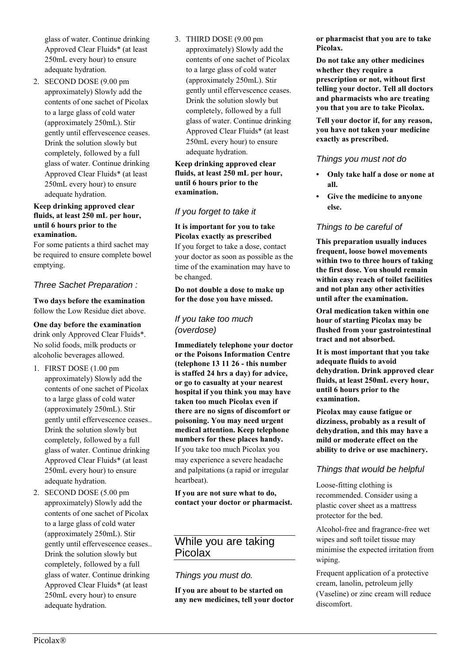glass of water. Continue drinking Approved Clear Fluids\* (at least 250mL every hour) to ensure adequate hydration.

2. SECOND DOSE (9.00 pm approximately) Slowly add the contents of one sachet of Picolax to a large glass of cold water (approximately 250mL). Stir gently until effervescence ceases. Drink the solution slowly but completely, followed by a full glass of water. Continue drinking Approved Clear Fluids\* (at least 250mL every hour) to ensure adequate hydration.

#### **Keep drinking approved clear fluids, at least 250 mL per hour, until 6 hours prior to the examination.**

For some patients a third sachet may be required to ensure complete bowel emptying.

## *Three Sachet Preparation :*

**Two days before the examination** follow the Low Residue diet above.

**One day before the examination**  drink only Approved Clear Fluids\*. No solid foods, milk products or alcoholic beverages allowed.

- 1. FIRST DOSE (1.00 pm approximately) Slowly add the contents of one sachet of Picolax to a large glass of cold water (approximately 250mL). Stir gently until effervescence ceases.. Drink the solution slowly but completely, followed by a full glass of water. Continue drinking Approved Clear Fluids\* (at least 250mL every hour) to ensure adequate hydration.
- 2. SECOND DOSE (5.00 pm approximately) Slowly add the contents of one sachet of Picolax to a large glass of cold water (approximately 250mL). Stir gently until effervescence ceases.. Drink the solution slowly but completely, followed by a full glass of water. Continue drinking Approved Clear Fluids\* (at least 250mL every hour) to ensure adequate hydration.

3. THIRD DOSE (9.00 pm approximately) Slowly add the contents of one sachet of Picolax to a large glass of cold water (approximately 250mL). Stir gently until effervescence ceases. Drink the solution slowly but completely, followed by a full glass of water. Continue drinking Approved Clear Fluids\* (at least 250mL every hour) to ensure adequate hydration.

**Keep drinking approved clear fluids, at least 250 mL per hour, until 6 hours prior to the examination.**

## *If you forget to take it*

**It is important for you to take Picolax exactly as prescribed**

If you forget to take a dose, contact your doctor as soon as possible as the time of the examination may have to be changed.

**Do not double a dose to make up for the dose you have missed.**

## *If you take too much (overdose)*

**Immediately telephone your doctor or the Poisons Information Centre (telephone 13 11 26 - this number is staffed 24 hrs a day) for advice, or go to casualty at your nearest hospital if you think you may have taken too much Picolax even if there are no signs of discomfort or poisoning. You may need urgent medical attention. Keep telephone numbers for these places handy.** If you take too much Picolax you may experience a severe headache and palpitations (a rapid or irregular heartbeat).

**If you are not sure what to do, contact your doctor or pharmacist.**

# While you are taking Picolax

## *Things you must do.*

**If you are about to be started on any new medicines, tell your doctor**  **or pharmacist that you are to take Picolax.**

**Do not take any other medicines whether they require a prescription or not, without first telling your doctor. Tell all doctors and pharmacists who are treating you that you are to take Picolax.**

**Tell your doctor if, for any reason, you have not taken your medicine exactly as prescribed.**

## *Things you must not do*

- **• Only take half a dose or none at all.**
- **• Give the medicine to anyone else.**

## *Things to be careful of*

**This preparation usually induces frequent, loose bowel movements within two to three hours of taking the first dose. You should remain within easy reach of toilet facilities and not plan any other activities until after the examination.**

**Oral medication taken within one hour of starting Picolax may be flushed from your gastrointestinal tract and not absorbed.**

**It is most important that you take adequate fluids to avoid dehydration. Drink approved clear fluids, at least 250mL every hour, until 6 hours prior to the examination.**

**Picolax may cause fatigue or dizziness, probably as a result of dehydration, and this may have a mild or moderate effect on the ability to drive or use machinery.**

### *Things that would be helpful*

Loose-fitting clothing is recommended. Consider using a plastic cover sheet as a mattress protector for the bed.

Alcohol-free and fragrance-free wet wipes and soft toilet tissue may minimise the expected irritation from wiping.

Frequent application of a protective cream, lanolin, petroleum jelly (Vaseline) or zinc cream will reduce discomfort.